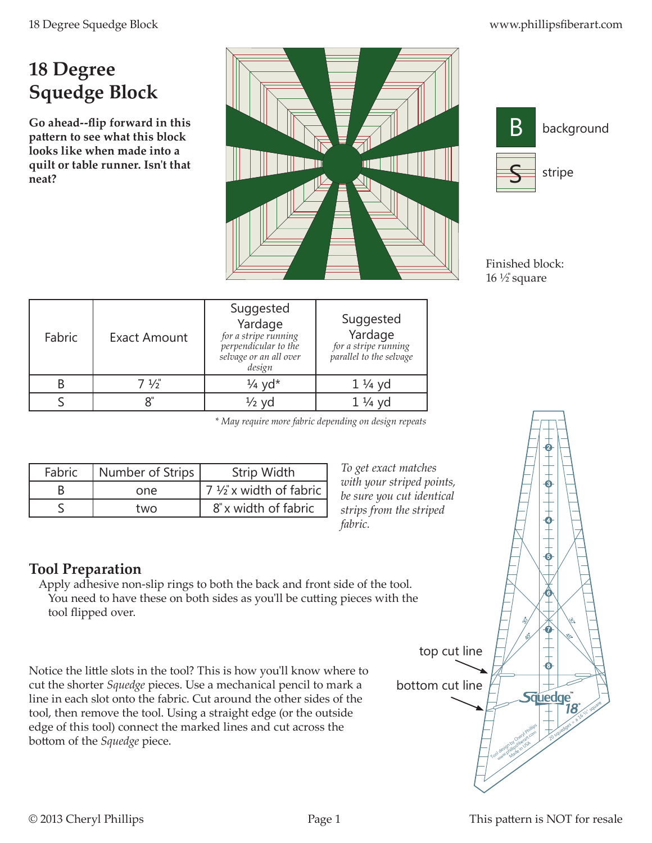## **18 Degree Squedge Block**

**Go ahead--flip forward in this pattern to see what this block looks like when made into a quilt or table runner. Isn't that neat?**





Finished block:  $16 \frac{1}{2}$  square

| Fabric | <b>Exact Amount</b> | Suggested<br>Yardage<br>for a stripe running<br>perpendicular to the<br>selvage or an all over<br>design | Suggested<br>Yardage<br>for a stripe running<br>parallel to the selvage |
|--------|---------------------|----------------------------------------------------------------------------------------------------------|-------------------------------------------------------------------------|
|        | $7\frac{1}{3}$      | $\frac{1}{4}$ yd <sup>*</sup>                                                                            | $1\frac{1}{4}$ yd                                                       |
|        |                     | $\frac{1}{2}$ vd                                                                                         | $1\frac{1}{4}$ yd                                                       |

*\* May require more fabric depending on design repeats*

| Fabric | Number of Strips | Strip Width                      |
|--------|------------------|----------------------------------|
|        | one              | $7\frac{1}{2}$ x width of fabric |
|        | two              | 8" x width of fabric             |

*To get exact matches with your striped points, be sure you cut identical strips from the striped fabric.*

## **Tool Preparation**

Apply adhesive non-slip rings to both the back and front side of the tool. You need to have these on both sides as you'll be cutting pieces with the tool flipped over.

Notice the little slots in the tool? This is how you'll know where to cut the shorter *Squedge* pieces. Use a mechanical pencil to mark a line in each slot onto the fabric. Cut around the other sides of the tool, then remove the tool. Using a straight edge (or the outside edge of this tool) connect the marked lines and cut across the bottom of the *Squedge* piece.

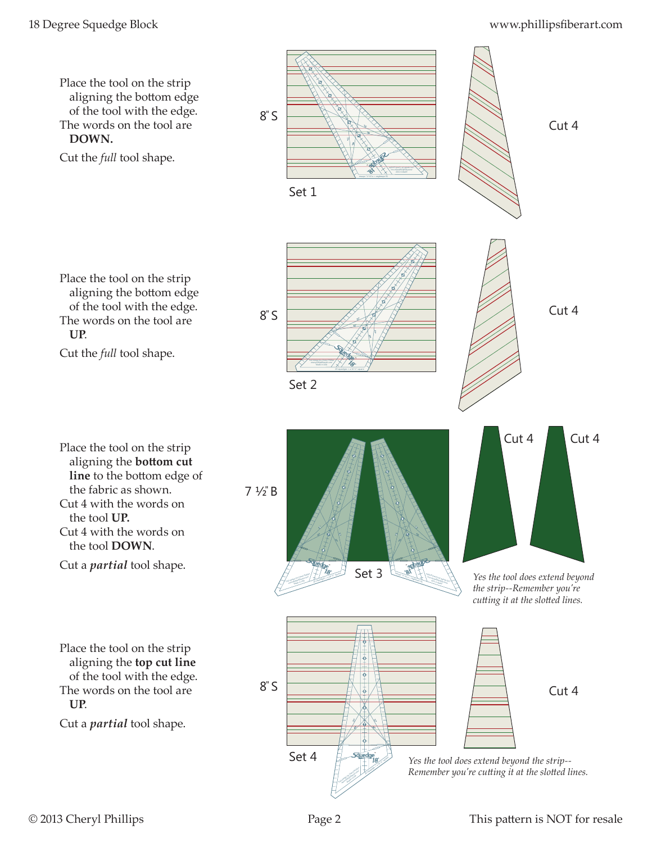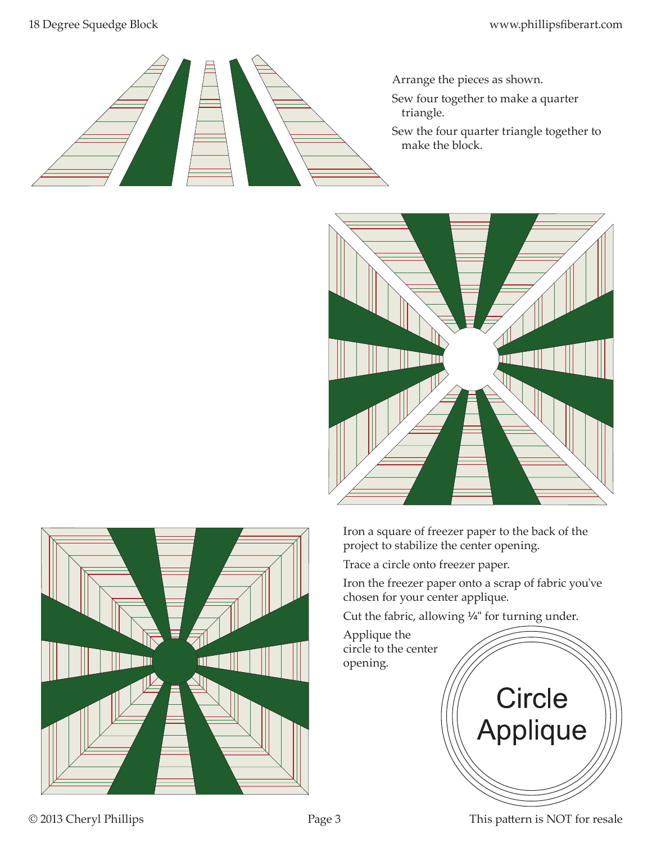

- Arrange the pieces as shown.
- Sew four together to make a quarter triangle.
- Sew the four quarter triangle together to make the block.



Iron a square of freezer paper to the back of the project to stabilize the center opening.

Trace a circle onto freezer paper.

Iron the freezer paper onto a scrap of fabric you've chosen for your center applique.

Cut the fabric, allowing ¼" for turning under.





© 2013 Cheryl Phillips Page 3 This pattern is NOT for resale